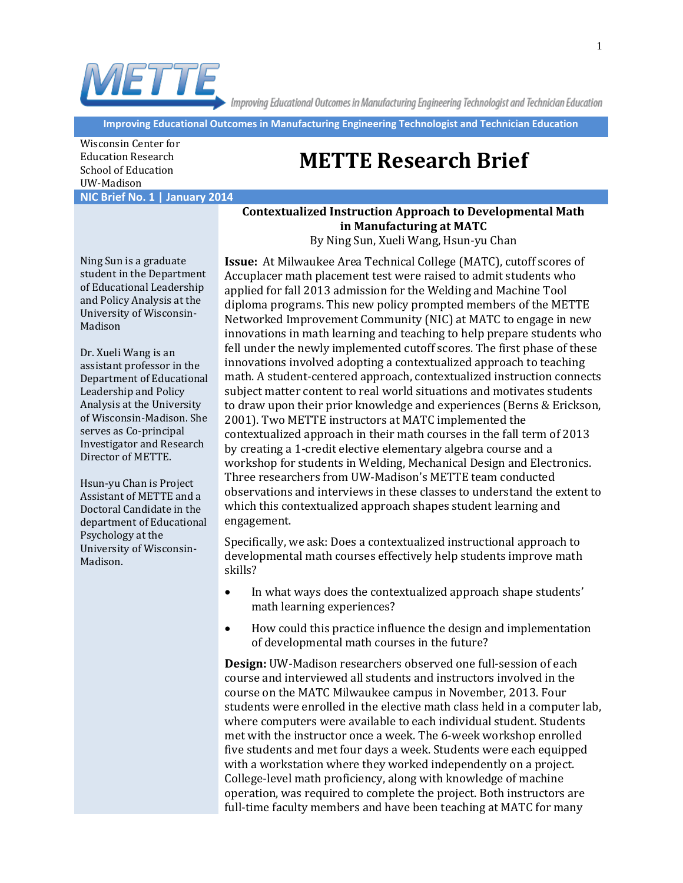

Improving Educational Outcomes in Manufacturing Engineering Technologist and Technician Education

**Improving Educational Outcomes in Manufacturing Engineering Technologist and Technician Education**

Wisconsin Center for UW-Madison

**NIC Brief No. 1 | January 2014**

# Education Research **METTE Research Brief** School of Education

# **Contextualized Instruction Approach to Developmental Math in Manufacturing at MATC** By Ning Sun, Xueli Wang, Hsun-yu Chan

Ning Sun is a graduate student in the Department of Educational Leadership and Policy Analysis at the University of Wisconsin-Madison

Dr. Xueli Wang is an assistant professor in the Department of Educational Leadership and Policy Analysis at the University of Wisconsin-Madison. She serves as Co-principal Investigator and Research Director of METTE.

Hsun-yu Chan is Project Assistant of METTE and a Doctoral Candidate in the department of Educational Psychology at the University of Wisconsin-Madison.

**Issue:** At Milwaukee Area Technical College (MATC), cutoff scores of Accuplacer math placement test were raised to admit students who applied for fall 2013 admission for the Welding and Machine Tool diploma programs. This new policy prompted members of the METTE Networked Improvement Community (NIC) at MATC to engage in new innovations in math learning and teaching to help prepare students who fell under the newly implemented cutoff scores. The first phase of these innovations involved adopting a contextualized approach to teaching math. A student-centered approach, contextualized instruction connects subject matter content to real world situations and motivates students to draw upon their prior knowledge and experiences (Berns & Erickson, 2001). Two METTE instructors at MATC implemented the contextualized approach in their math courses in the fall term of 2013 by creating a 1-credit elective elementary algebra course and a workshop for students in Welding, Mechanical Design and Electronics. Three researchers from UW-Madison's METTE team conducted observations and interviews in these classes to understand the extent to which this contextualized approach shapes student learning and engagement.

Specifically, we ask: Does a contextualized instructional approach to developmental math courses effectively help students improve math skills?

- In what ways does the contextualized approach shape students' math learning experiences?
- How could this practice influence the design and implementation of developmental math courses in the future?

**Design:** UW-Madison researchers observed one full-session of each course and interviewed all students and instructors involved in the course on the MATC Milwaukee campus in November, 2013. Four students were enrolled in the elective math class held in a computer lab, where computers were available to each individual student. Students met with the instructor once a week. The 6-week workshop enrolled five students and met four days a week. Students were each equipped with a workstation where they worked independently on a project. College-level math proficiency, along with knowledge of machine operation, was required to complete the project. Both instructors are full-time faculty members and have been teaching at MATC for many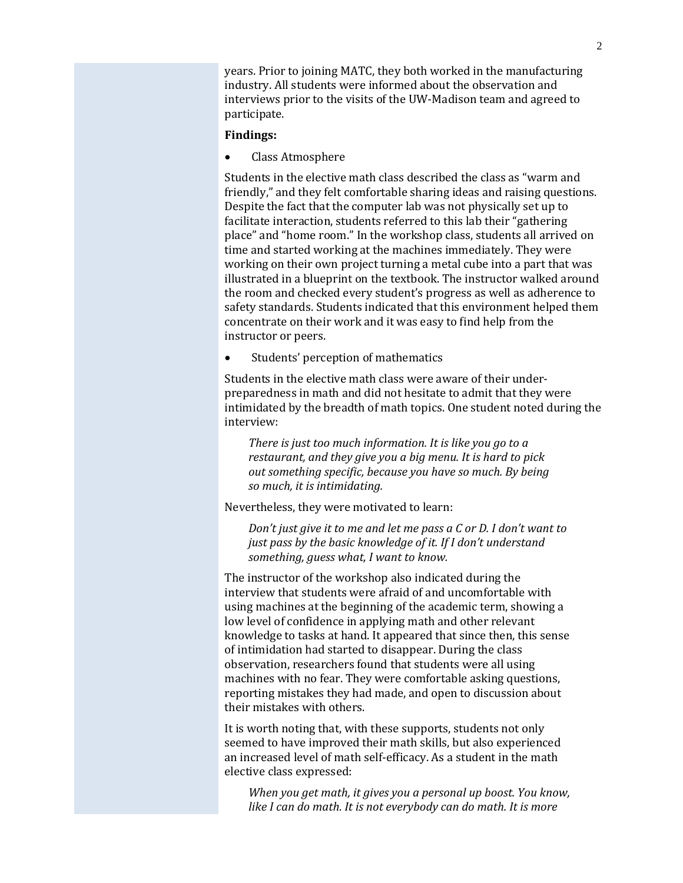years. Prior to joining MATC, they both worked in the manufacturing industry. All students were informed about the observation and interviews prior to the visits of the UW-Madison team and agreed to participate.

#### **Findings:**

Class Atmosphere

Students in the elective math class described the class as "warm and friendly," and they felt comfortable sharing ideas and raising questions. Despite the fact that the computer lab was not physically set up to facilitate interaction, students referred to this lab their "gathering place" and "home room." In the workshop class, students all arrived on time and started working at the machines immediately. They were working on their own project turning a metal cube into a part that was illustrated in a blueprint on the textbook. The instructor walked around the room and checked every student's progress as well as adherence to safety standards. Students indicated that this environment helped them concentrate on their work and it was easy to find help from the instructor or peers.

Students' perception of mathematics

Students in the elective math class were aware of their underpreparedness in math and did not hesitate to admit that they were intimidated by the breadth of math topics. One student noted during the interview:

*There is just too much information. It is like you go to a restaurant, and they give you a big menu. It is hard to pick out something specific, because you have so much. By being so much, it is intimidating.*

Nevertheless, they were motivated to learn:

*Don't just give it to me and let me pass a C or D. I don't want to just pass by the basic knowledge of it. If I don't understand something, guess what, I want to know.*

The instructor of the workshop also indicated during the interview that students were afraid of and uncomfortable with using machines at the beginning of the academic term, showing a low level of confidence in applying math and other relevant knowledge to tasks at hand. It appeared that since then, this sense of intimidation had started to disappear. During the class observation, researchers found that students were all using machines with no fear. They were comfortable asking questions, reporting mistakes they had made, and open to discussion about their mistakes with others.

It is worth noting that, with these supports, students not only seemed to have improved their math skills, but also experienced an increased level of math self-efficacy. As a student in the math elective class expressed:

*When you get math, it gives you a personal up boost. You know, like I can do math. It is not everybody can do math. It is more*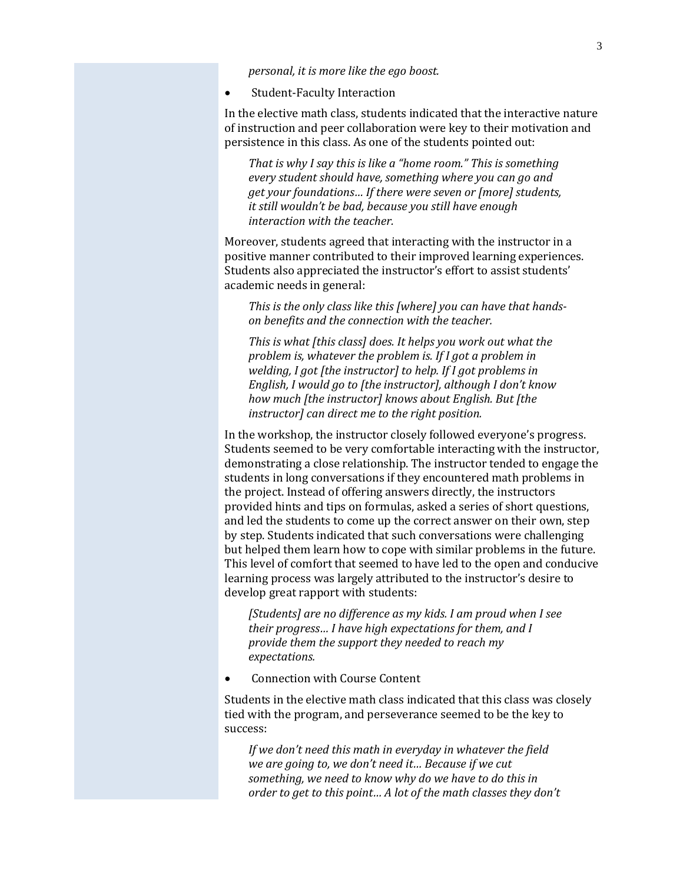*personal, it is more like the ego boost.*

• Student-Faculty Interaction

In the elective math class, students indicated that the interactive nature of instruction and peer collaboration were key to their motivation and persistence in this class. As one of the students pointed out:

*That is why I say this is like a "home room." This is something every student should have, something where you can go and get your foundations… If there were seven or [more] students, it still wouldn't be bad, because you still have enough interaction with the teacher.*

Moreover, students agreed that interacting with the instructor in a positive manner contributed to their improved learning experiences. Students also appreciated the instructor's effort to assist students' academic needs in general:

*This is the only class like this [where] you can have that handson benefits and the connection with the teacher.*

*This is what [this class] does. It helps you work out what the problem is, whatever the problem is. If I got a problem in welding, I got [the instructor] to help. If I got problems in English, I would go to [the instructor], although I don't know how much [the instructor] knows about English. But [the instructor] can direct me to the right position.*

In the workshop, the instructor closely followed everyone's progress. Students seemed to be very comfortable interacting with the instructor, demonstrating a close relationship. The instructor tended to engage the students in long conversations if they encountered math problems in the project. Instead of offering answers directly, the instructors provided hints and tips on formulas, asked a series of short questions, and led the students to come up the correct answer on their own, step by step. Students indicated that such conversations were challenging but helped them learn how to cope with similar problems in the future. This level of comfort that seemed to have led to the open and conducive learning process was largely attributed to the instructor's desire to develop great rapport with students:

*[Students] are no difference as my kids. I am proud when I see their progress… I have high expectations for them, and I provide them the support they needed to reach my expectations.*

Connection with Course Content

Students in the elective math class indicated that this class was closely tied with the program, and perseverance seemed to be the key to success:

*If we don't need this math in everyday in whatever the field we are going to, we don't need it… Because if we cut something, we need to know why do we have to do this in order to get to this point… A lot of the math classes they don't*